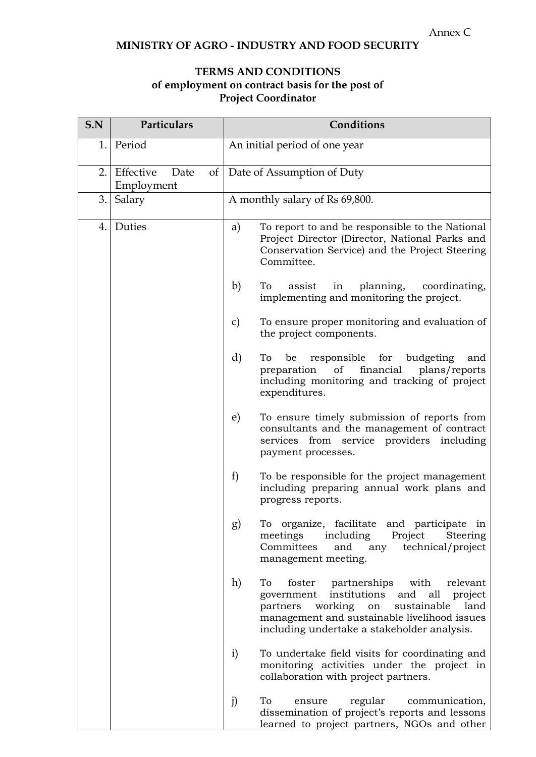## **MINISTRY OF AGRO - INDUSTRY AND FOOD SECURITY**

## **TERMS AND CONDITIONS of employment on contract basis for the post of Project Coordinator**

| S.N | Particulars                     | Conditions                                                                                                                                                                                                                                                 |
|-----|---------------------------------|------------------------------------------------------------------------------------------------------------------------------------------------------------------------------------------------------------------------------------------------------------|
| 1.  | Period                          | An initial period of one year                                                                                                                                                                                                                              |
| 2.  | Effective<br>Date<br>Employment | of   Date of Assumption of Duty                                                                                                                                                                                                                            |
| 3.  | Salary                          | A monthly salary of Rs 69,800.                                                                                                                                                                                                                             |
| 4.  | Duties                          | To report to and be responsible to the National<br>a)<br>Project Director (Director, National Parks and<br>Conservation Service) and the Project Steering<br>Committee.                                                                                    |
|     |                                 | b)<br>planning,<br>To<br>assist<br>coordinating,<br>in<br>implementing and monitoring the project.                                                                                                                                                         |
|     |                                 | To ensure proper monitoring and evaluation of<br>$\mathcal{C}$<br>the project components.                                                                                                                                                                  |
|     |                                 | d)<br>responsible for budgeting<br>To be<br>and<br>of<br>financial<br>plans/reports<br>preparation<br>including monitoring and tracking of project<br>expenditures.                                                                                        |
|     |                                 | To ensure timely submission of reports from<br>e)<br>consultants and the management of contract<br>services from service providers including<br>payment processes.                                                                                         |
|     |                                 | f<br>To be responsible for the project management<br>including preparing annual work plans and<br>progress reports.                                                                                                                                        |
|     |                                 | To organize, facilitate<br>and participate in<br>g)<br>including<br>meetings<br>Project<br>Steering<br>technical/project<br>Committees<br>and<br>any<br>management meeting.                                                                                |
|     |                                 | h)<br>To<br>foster<br>partnerships<br>with<br>relevant<br>and all<br>institutions<br>project<br>government<br>working on<br>land<br>sustainable<br>partners<br>management and sustainable livelihood issues<br>including undertake a stakeholder analysis. |
|     |                                 | $\mathbf{i}$<br>To undertake field visits for coordinating and<br>monitoring activities under the project in<br>collaboration with project partners.                                                                                                       |
|     |                                 | To<br>j)<br>regular<br>communication,<br>ensure<br>dissemination of project's reports and lessons<br>learned to project partners, NGOs and other                                                                                                           |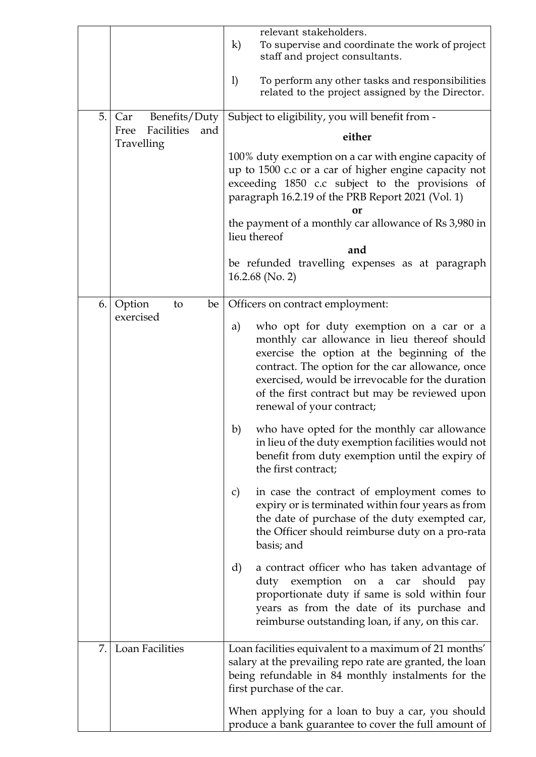|    |                                                                 | relevant stakeholders.<br>$\bf k)$<br>To supervise and coordinate the work of project<br>staff and project consultants.                                                                                                                                                                                                              |
|----|-----------------------------------------------------------------|--------------------------------------------------------------------------------------------------------------------------------------------------------------------------------------------------------------------------------------------------------------------------------------------------------------------------------------|
|    |                                                                 | 1)<br>To perform any other tasks and responsibilities<br>related to the project assigned by the Director.                                                                                                                                                                                                                            |
| 5. | Benefits/Duty<br>Car<br>Facilities<br>and<br>Free<br>Travelling | Subject to eligibility, you will benefit from -                                                                                                                                                                                                                                                                                      |
|    |                                                                 | either                                                                                                                                                                                                                                                                                                                               |
|    |                                                                 | 100% duty exemption on a car with engine capacity of<br>up to 1500 c.c or a car of higher engine capacity not<br>exceeding 1850 c.c subject to the provisions of<br>paragraph 16.2.19 of the PRB Report 2021 (Vol. 1)<br>nґ                                                                                                          |
|    |                                                                 | the payment of a monthly car allowance of Rs 3,980 in<br>lieu thereof                                                                                                                                                                                                                                                                |
|    |                                                                 | and                                                                                                                                                                                                                                                                                                                                  |
|    |                                                                 | be refunded travelling expenses as at paragraph<br>$16.2.68$ (No. 2)                                                                                                                                                                                                                                                                 |
| 6. | Option<br>be<br>to                                              | Officers on contract employment:                                                                                                                                                                                                                                                                                                     |
|    | exercised                                                       | who opt for duty exemption on a car or a<br>a)<br>monthly car allowance in lieu thereof should<br>exercise the option at the beginning of the<br>contract. The option for the car allowance, once<br>exercised, would be irrevocable for the duration<br>of the first contract but may be reviewed upon<br>renewal of your contract; |
|    |                                                                 | who have opted for the monthly car allowance<br>b)<br>in lieu of the duty exemption facilities would not<br>benefit from duty exemption until the expiry of<br>the first contract;                                                                                                                                                   |
|    |                                                                 | in case the contract of employment comes to<br>C)<br>expiry or is terminated within four years as from<br>the date of purchase of the duty exempted car,<br>the Officer should reimburse duty on a pro-rata<br>basis; and                                                                                                            |
|    |                                                                 | d)<br>a contract officer who has taken advantage of<br>exemption<br>should<br>duty<br>pay<br>on a car<br>proportionate duty if same is sold within four<br>years as from the date of its purchase and<br>reimburse outstanding loan, if any, on this car.                                                                            |
| 7. | <b>Loan Facilities</b>                                          | Loan facilities equivalent to a maximum of 21 months'<br>salary at the prevailing repo rate are granted, the loan<br>being refundable in 84 monthly instalments for the<br>first purchase of the car.                                                                                                                                |
|    |                                                                 | When applying for a loan to buy a car, you should<br>produce a bank guarantee to cover the full amount of                                                                                                                                                                                                                            |